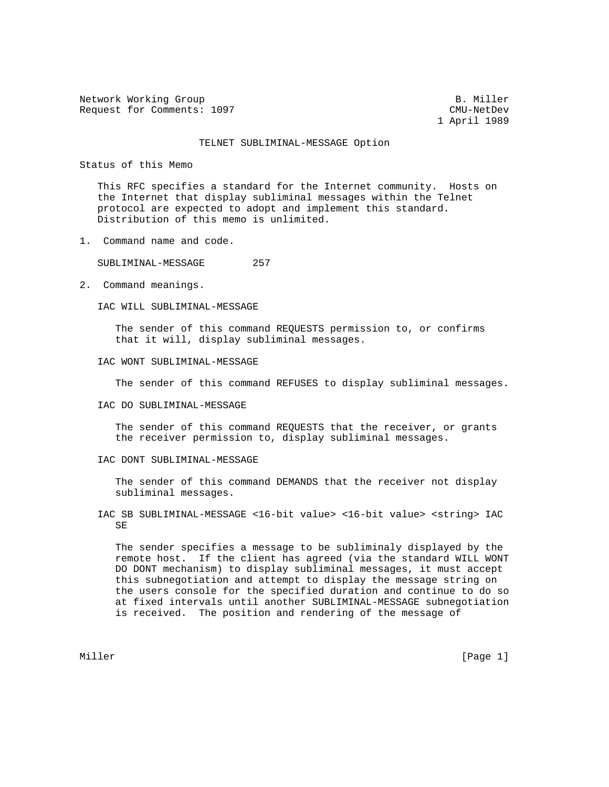Network Working Group B. Miller Request for Comments: 1097 CMU-NetDev

1 April 1989

## TELNET SUBLIMINAL-MESSAGE Option

Status of this Memo

 This RFC specifies a standard for the Internet community. Hosts on the Internet that display subliminal messages within the Telnet protocol are expected to adopt and implement this standard. Distribution of this memo is unlimited.

1. Command name and code.

SUBLIMINAL-MESSAGE 257

2. Command meanings.

IAC WILL SUBLIMINAL-MESSAGE

 The sender of this command REQUESTS permission to, or confirms that it will, display subliminal messages.

## IAC WONT SUBLIMINAL-MESSAGE

The sender of this command REFUSES to display subliminal messages.

IAC DO SUBLIMINAL-MESSAGE

 The sender of this command REQUESTS that the receiver, or grants the receiver permission to, display subliminal messages.

IAC DONT SUBLIMINAL-MESSAGE

 The sender of this command DEMANDS that the receiver not display subliminal messages.

 IAC SB SUBLIMINAL-MESSAGE <16-bit value> <16-bit value> <string> IAC SE

 The sender specifies a message to be subliminaly displayed by the remote host. If the client has agreed (via the standard WILL WONT DO DONT mechanism) to display subliminal messages, it must accept this subnegotiation and attempt to display the message string on the users console for the specified duration and continue to do so at fixed intervals until another SUBLIMINAL-MESSAGE subnegotiation is received. The position and rendering of the message of

Miller [Page 1] [Page 1] [Page 1] [Page 1] [Page 1] [Page 1] [Page 1] [Page 1] [Page 1]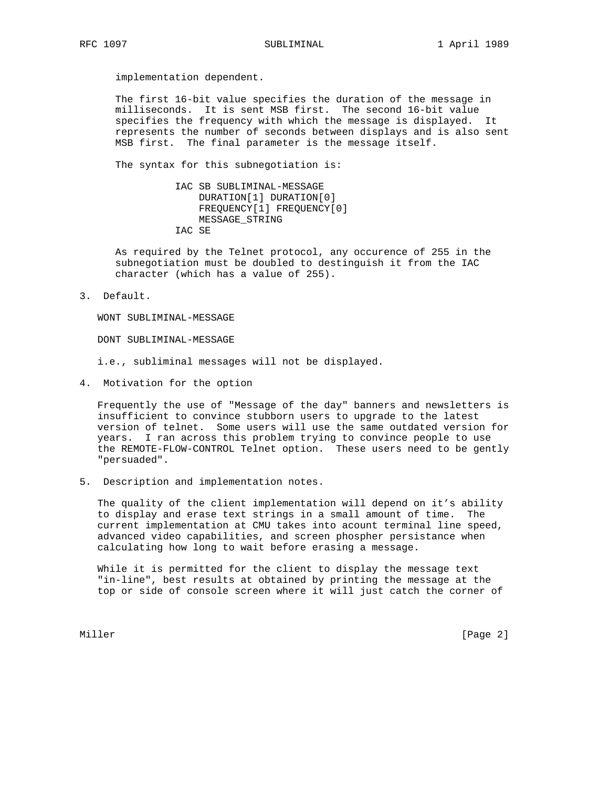implementation dependent.

 The first 16-bit value specifies the duration of the message in milliseconds. It is sent MSB first. The second 16-bit value specifies the frequency with which the message is displayed. It represents the number of seconds between displays and is also sent MSB first. The final parameter is the message itself.

The syntax for this subnegotiation is:

 IAC SB SUBLIMINAL-MESSAGE DURATION[1] DURATION[0] FREQUENCY[1] FREQUENCY[0] MESSAGE\_STRING IAC SE

 As required by the Telnet protocol, any occurence of 255 in the subnegotiation must be doubled to destinguish it from the IAC character (which has a value of 255).

3. Default.

WONT SUBLIMINAL-MESSAGE

DONT SUBLIMINAL-MESSAGE

i.e., subliminal messages will not be displayed.

4. Motivation for the option

 Frequently the use of "Message of the day" banners and newsletters is insufficient to convince stubborn users to upgrade to the latest version of telnet. Some users will use the same outdated version for years. I ran across this problem trying to convince people to use the REMOTE-FLOW-CONTROL Telnet option. These users need to be gently "persuaded".

5. Description and implementation notes.

 The quality of the client implementation will depend on it's ability to display and erase text strings in a small amount of time. The current implementation at CMU takes into acount terminal line speed, advanced video capabilities, and screen phospher persistance when calculating how long to wait before erasing a message.

 While it is permitted for the client to display the message text "in-line", best results at obtained by printing the message at the top or side of console screen where it will just catch the corner of

Miller [Page 2] [Page 2] [Page 2] [Page 2] [Page 2] [Page 2] [Page 2] [Page 2] [Page 2]